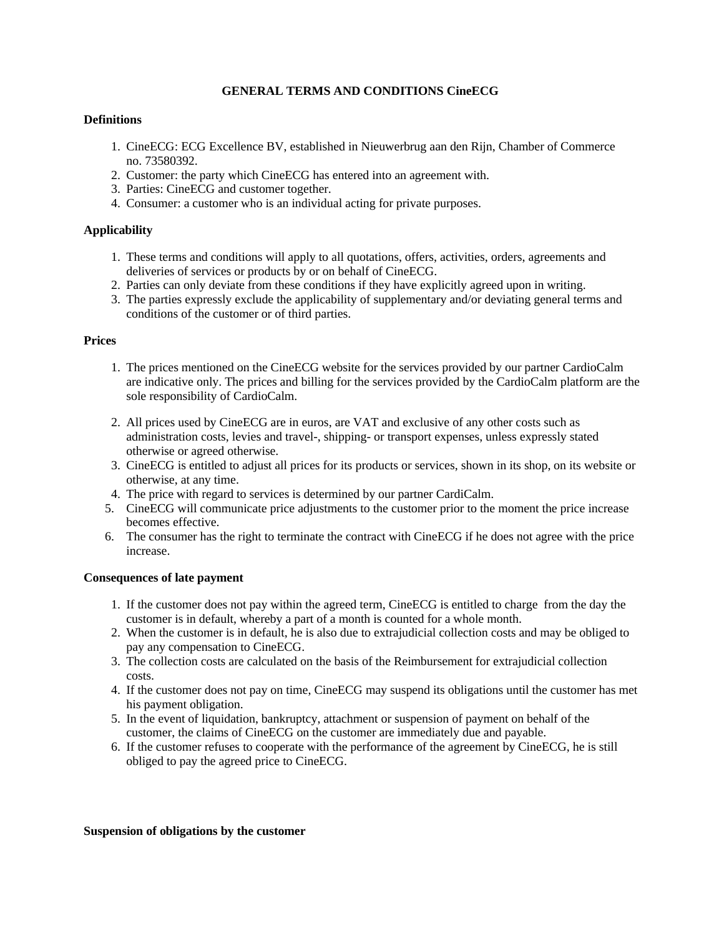# **GENERAL TERMS AND CONDITIONS CineECG**

## **Definitions**

- 1. CineECG: ECG Excellence BV, established in Nieuwerbrug aan den Rijn, Chamber of Commerce no. 73580392.
- 2. Customer: the party which CineECG has entered into an agreement with.
- 3. Parties: CineECG and customer together.
- 4. Consumer: a customer who is an individual acting for private purposes.

## **Applicability**

- 1. These terms and conditions will apply to all quotations, offers, activities, orders, agreements and deliveries of services or products by or on behalf of CineECG.
- 2. Parties can only deviate from these conditions if they have explicitly agreed upon in writing.
- 3. The parties expressly exclude the applicability of supplementary and/or deviating general terms and conditions of the customer or of third parties.

## **Prices**

- 1. The prices mentioned on the CineECG website for the services provided by our partner CardioCalm are indicative only. The prices and billing for the services provided by the CardioCalm platform are the sole responsibility of CardioCalm.
- 2. All prices used by CineECG are in euros, are VAT and exclusive of any other costs such as administration costs, levies and travel-, shipping- or transport expenses, unless expressly stated otherwise or agreed otherwise.
- 3. CineECG is entitled to adjust all prices for its products or services, shown in its shop, on its website or otherwise, at any time.
- 4. The price with regard to services is determined by our partner CardiCalm.
- 5. CineECG will communicate price adjustments to the customer prior to the moment the price increase becomes effective.
- 6. The consumer has the right to terminate the contract with CineECG if he does not agree with the price increase.

#### **Consequences of late payment**

- 1. If the customer does not pay within the agreed term, CineECG is entitled to charge from the day the customer is in default, whereby a part of a month is counted for a whole month.
- 2. When the customer is in default, he is also due to extrajudicial collection costs and may be obliged to pay any compensation to CineECG.
- 3. The collection costs are calculated on the basis of the Reimbursement for extrajudicial collection costs.
- 4. If the customer does not pay on time, CineECG may suspend its obligations until the customer has met his payment obligation.
- 5. In the event of liquidation, bankruptcy, attachment or suspension of payment on behalf of the customer, the claims of CineECG on the customer are immediately due and payable.
- 6. If the customer refuses to cooperate with the performance of the agreement by CineECG, he is still obliged to pay the agreed price to CineECG.

#### **Suspension of obligations by the customer**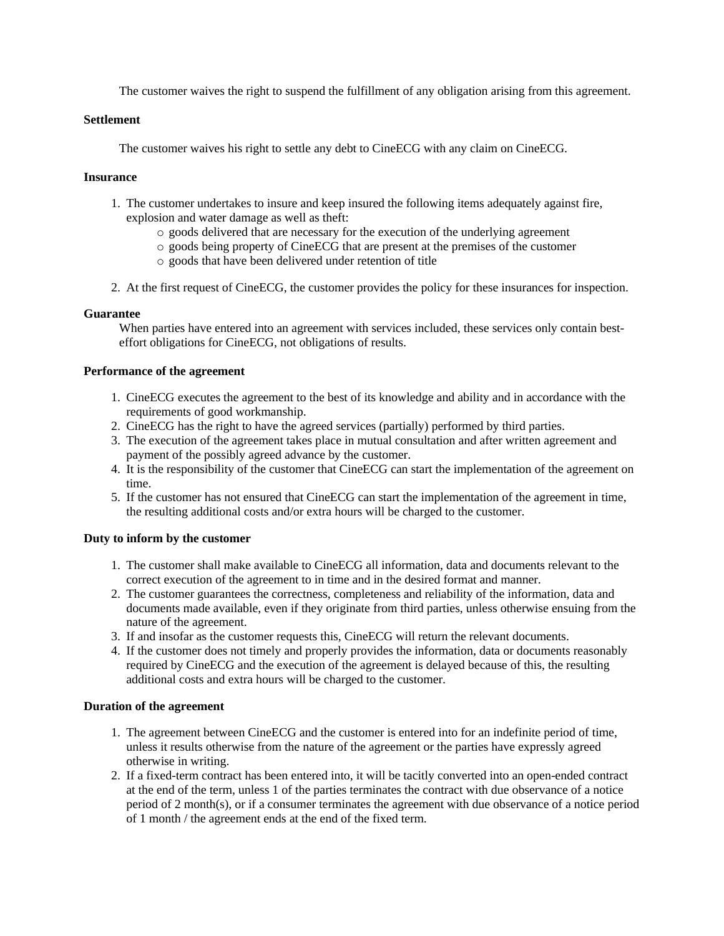The customer waives the right to suspend the fulfillment of any obligation arising from this agreement.

#### **Settlement**

The customer waives his right to settle any debt to CineECG with any claim on CineECG.

## **Insurance**

- 1. The customer undertakes to insure and keep insured the following items adequately against fire, explosion and water damage as well as theft:
	- o goods delivered that are necessary for the execution of the underlying agreement
	- o goods being property of CineECG that are present at the premises of the customer
	- o goods that have been delivered under retention of title
- 2. At the first request of CineECG, the customer provides the policy for these insurances for inspection.

## **Guarantee**

When parties have entered into an agreement with services included, these services only contain besteffort obligations for CineECG, not obligations of results.

## **Performance of the agreement**

- 1. CineECG executes the agreement to the best of its knowledge and ability and in accordance with the requirements of good workmanship.
- 2. CineECG has the right to have the agreed services (partially) performed by third parties.
- 3. The execution of the agreement takes place in mutual consultation and after written agreement and payment of the possibly agreed advance by the customer.
- 4. It is the responsibility of the customer that CineECG can start the implementation of the agreement on time.
- 5. If the customer has not ensured that CineECG can start the implementation of the agreement in time, the resulting additional costs and/or extra hours will be charged to the customer.

#### **Duty to inform by the customer**

- 1. The customer shall make available to CineECG all information, data and documents relevant to the correct execution of the agreement to in time and in the desired format and manner.
- 2. The customer guarantees the correctness, completeness and reliability of the information, data and documents made available, even if they originate from third parties, unless otherwise ensuing from the nature of the agreement.
- 3. If and insofar as the customer requests this, CineECG will return the relevant documents.
- 4. If the customer does not timely and properly provides the information, data or documents reasonably required by CineECG and the execution of the agreement is delayed because of this, the resulting additional costs and extra hours will be charged to the customer.

#### **Duration of the agreement**

- 1. The agreement between CineECG and the customer is entered into for an indefinite period of time, unless it results otherwise from the nature of the agreement or the parties have expressly agreed otherwise in writing.
- 2. If a fixed-term contract has been entered into, it will be tacitly converted into an open-ended contract at the end of the term, unless 1 of the parties terminates the contract with due observance of a notice period of 2 month(s), or if a consumer terminates the agreement with due observance of a notice period of 1 month / the agreement ends at the end of the fixed term.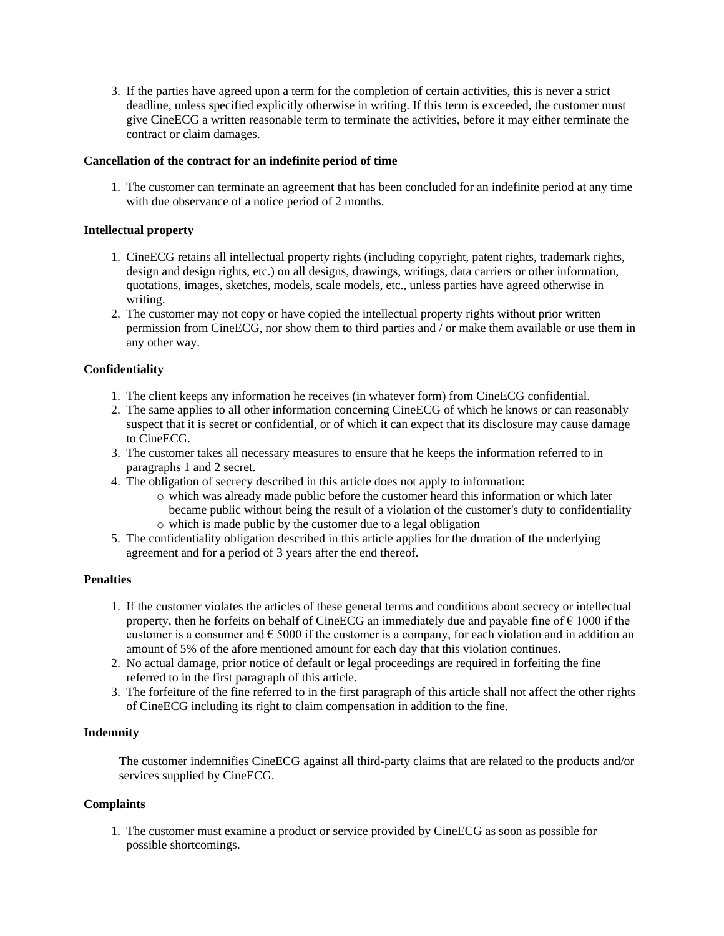3. If the parties have agreed upon a term for the completion of certain activities, this is never a strict deadline, unless specified explicitly otherwise in writing. If this term is exceeded, the customer must give CineECG a written reasonable term to terminate the activities, before it may either terminate the contract or claim damages.

## **Cancellation of the contract for an indefinite period of time**

1. The customer can terminate an agreement that has been concluded for an indefinite period at any time with due observance of a notice period of 2 months.

# **Intellectual property**

- 1. CineECG retains all intellectual property rights (including copyright, patent rights, trademark rights, design and design rights, etc.) on all designs, drawings, writings, data carriers or other information, quotations, images, sketches, models, scale models, etc., unless parties have agreed otherwise in writing.
- 2. The customer may not copy or have copied the intellectual property rights without prior written permission from CineECG, nor show them to third parties and / or make them available or use them in any other way.

# **Confidentiality**

- 1. The client keeps any information he receives (in whatever form) from CineECG confidential.
- 2. The same applies to all other information concerning CineECG of which he knows or can reasonably suspect that it is secret or confidential, or of which it can expect that its disclosure may cause damage to CineECG.
- 3. The customer takes all necessary measures to ensure that he keeps the information referred to in paragraphs 1 and 2 secret.
- 4. The obligation of secrecy described in this article does not apply to information:
	- $\circ$  which was already made public before the customer heard this information or which later became public without being the result of a violation of the customer's duty to confidentiality o which is made public by the customer due to a legal obligation
- 5. The confidentiality obligation described in this article applies for the duration of the underlying agreement and for a period of 3 years after the end thereof.

# **Penalties**

- 1. If the customer violates the articles of these general terms and conditions about secrecy or intellectual property, then he forfeits on behalf of CineECG an immediately due and payable fine of  $\epsilon$  1000 if the customer is a consumer and  $\epsilon$  5000 if the customer is a company, for each violation and in addition an amount of 5% of the afore mentioned amount for each day that this violation continues.
- 2. No actual damage, prior notice of default or legal proceedings are required in forfeiting the fine referred to in the first paragraph of this article.
- 3. The forfeiture of the fine referred to in the first paragraph of this article shall not affect the other rights of CineECG including its right to claim compensation in addition to the fine.

#### **Indemnity**

The customer indemnifies CineECG against all third-party claims that are related to the products and/or services supplied by CineECG.

#### **Complaints**

1. The customer must examine a product or service provided by CineECG as soon as possible for possible shortcomings.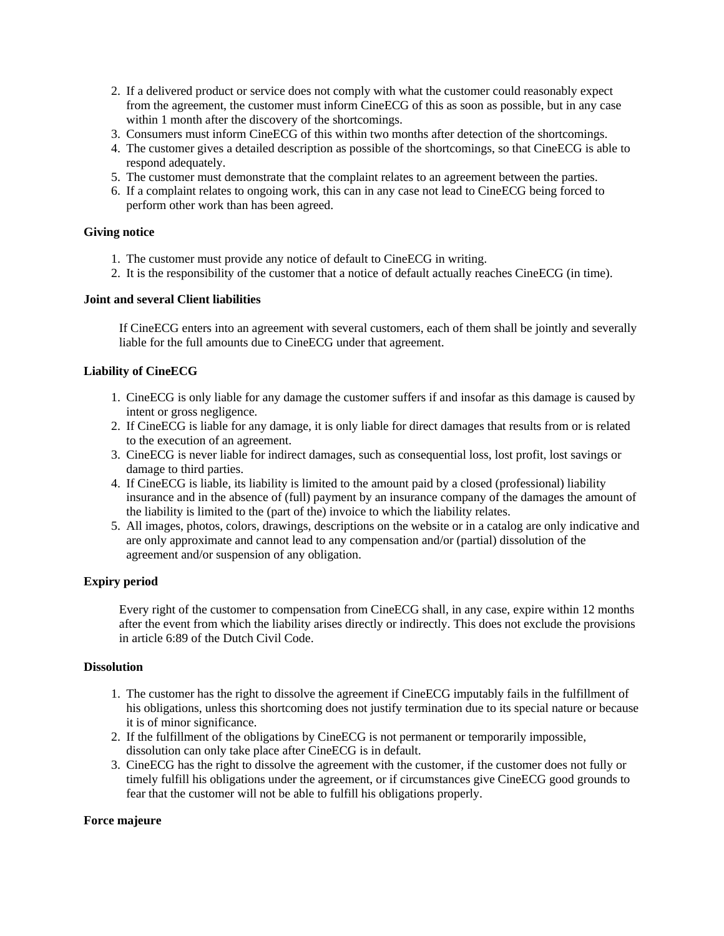- 2. If a delivered product or service does not comply with what the customer could reasonably expect from the agreement, the customer must inform CineECG of this as soon as possible, but in any case within 1 month after the discovery of the shortcomings.
- 3. Consumers must inform CineECG of this within two months after detection of the shortcomings.
- 4. The customer gives a detailed description as possible of the shortcomings, so that CineECG is able to respond adequately.
- 5. The customer must demonstrate that the complaint relates to an agreement between the parties.
- 6. If a complaint relates to ongoing work, this can in any case not lead to CineECG being forced to perform other work than has been agreed.

## **Giving notice**

- 1. The customer must provide any notice of default to CineECG in writing.
- 2. It is the responsibility of the customer that a notice of default actually reaches CineECG (in time).

## **Joint and several Client liabilities**

If CineECG enters into an agreement with several customers, each of them shall be jointly and severally liable for the full amounts due to CineECG under that agreement.

# **Liability of CineECG**

- 1. CineECG is only liable for any damage the customer suffers if and insofar as this damage is caused by intent or gross negligence.
- 2. If CineECG is liable for any damage, it is only liable for direct damages that results from or is related to the execution of an agreement.
- 3. CineECG is never liable for indirect damages, such as consequential loss, lost profit, lost savings or damage to third parties.
- 4. If CineECG is liable, its liability is limited to the amount paid by a closed (professional) liability insurance and in the absence of (full) payment by an insurance company of the damages the amount of the liability is limited to the (part of the) invoice to which the liability relates.
- 5. All images, photos, colors, drawings, descriptions on the website or in a catalog are only indicative and are only approximate and cannot lead to any compensation and/or (partial) dissolution of the agreement and/or suspension of any obligation.

# **Expiry period**

Every right of the customer to compensation from CineECG shall, in any case, expire within 12 months after the event from which the liability arises directly or indirectly. This does not exclude the provisions in article 6:89 of the Dutch Civil Code.

#### **Dissolution**

- 1. The customer has the right to dissolve the agreement if CineECG imputably fails in the fulfillment of his obligations, unless this shortcoming does not justify termination due to its special nature or because it is of minor significance.
- 2. If the fulfillment of the obligations by CineECG is not permanent or temporarily impossible, dissolution can only take place after CineECG is in default.
- 3. CineECG has the right to dissolve the agreement with the customer, if the customer does not fully or timely fulfill his obligations under the agreement, or if circumstances give CineECG good grounds to fear that the customer will not be able to fulfill his obligations properly.

#### **Force majeure**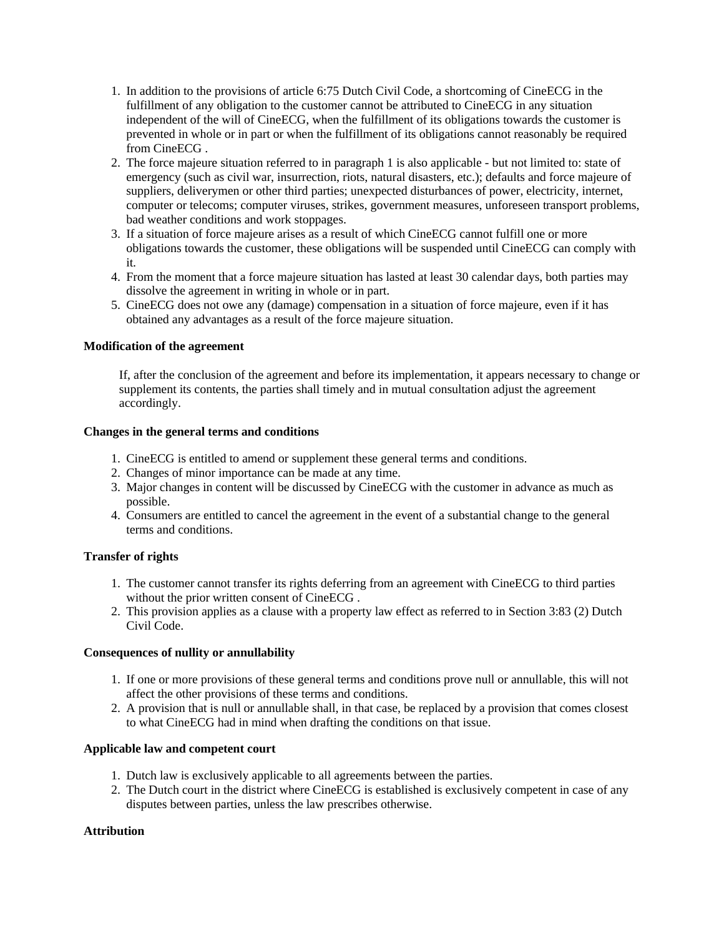- 1. In addition to the provisions of article 6:75 Dutch Civil Code, a shortcoming of CineECG in the fulfillment of any obligation to the customer cannot be attributed to CineECG in any situation independent of the will of CineECG, when the fulfillment of its obligations towards the customer is prevented in whole or in part or when the fulfillment of its obligations cannot reasonably be required from CineECG .
- 2. The force majeure situation referred to in paragraph 1 is also applicable but not limited to: state of emergency (such as civil war, insurrection, riots, natural disasters, etc.); defaults and force majeure of suppliers, deliverymen or other third parties; unexpected disturbances of power, electricity, internet, computer or telecoms; computer viruses, strikes, government measures, unforeseen transport problems, bad weather conditions and work stoppages.
- 3. If a situation of force majeure arises as a result of which CineECG cannot fulfill one or more obligations towards the customer, these obligations will be suspended until CineECG can comply with it.
- 4. From the moment that a force majeure situation has lasted at least 30 calendar days, both parties may dissolve the agreement in writing in whole or in part.
- 5. CineECG does not owe any (damage) compensation in a situation of force majeure, even if it has obtained any advantages as a result of the force majeure situation.

## **Modification of the agreement**

If, after the conclusion of the agreement and before its implementation, it appears necessary to change or supplement its contents, the parties shall timely and in mutual consultation adjust the agreement accordingly.

## **Changes in the general terms and conditions**

- 1. CineECG is entitled to amend or supplement these general terms and conditions.
- 2. Changes of minor importance can be made at any time.
- 3. Major changes in content will be discussed by CineECG with the customer in advance as much as possible.
- 4. Consumers are entitled to cancel the agreement in the event of a substantial change to the general terms and conditions.

# **Transfer of rights**

- 1. The customer cannot transfer its rights deferring from an agreement with CineECG to third parties without the prior written consent of CineECG .
- 2. This provision applies as a clause with a property law effect as referred to in Section 3:83 (2) Dutch Civil Code.

#### **Consequences of nullity or annullability**

- 1. If one or more provisions of these general terms and conditions prove null or annullable, this will not affect the other provisions of these terms and conditions.
- 2. A provision that is null or annullable shall, in that case, be replaced by a provision that comes closest to what CineECG had in mind when drafting the conditions on that issue.

#### **Applicable law and competent court**

- 1. Dutch law is exclusively applicable to all agreements between the parties.
- 2. The Dutch court in the district where CineECG is established is exclusively competent in case of any disputes between parties, unless the law prescribes otherwise.

#### **Attribution**